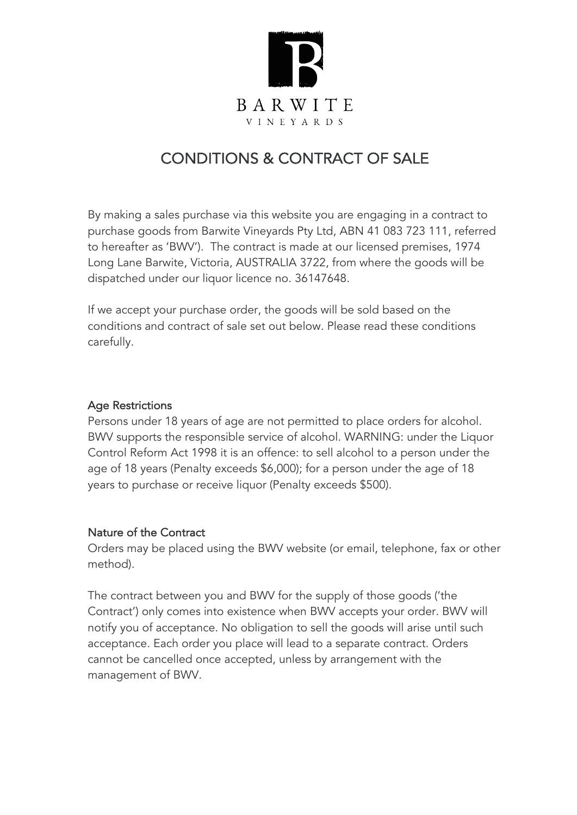

# CONDITIONS & CONTRACT OF SALE

By making a sales purchase via this website you are engaging in a contract to purchase goods from Barwite Vineyards Pty Ltd, ABN 41 083 723 111, referred to hereafter as 'BWV'). The contract is made at our licensed premises, 1974 Long Lane Barwite, Victoria, AUSTRALIA 3722, from where the goods will be dispatched under our liquor licence no. 36147648.

If we accept your purchase order, the goods will be sold based on the conditions and contract of sale set out below. Please read these conditions carefully.

## Age Restrictions

Persons under 18 years of age are not permitted to place orders for alcohol. BWV supports the responsible service of alcohol. WARNING: under the Liquor Control Reform Act 1998 it is an offence: to sell alcohol to a person under the age of 18 years (Penalty exceeds \$6,000); for a person under the age of 18 years to purchase or receive liquor (Penalty exceeds \$500).

## Nature of the Contract

Orders may be placed using the BWV website (or email, telephone, fax or other method).

The contract between you and BWV for the supply of those goods ('the Contract') only comes into existence when BWV accepts your order. BWV will notify you of acceptance. No obligation to sell the goods will arise until such acceptance. Each order you place will lead to a separate contract. Orders cannot be cancelled once accepted, unless by arrangement with the management of BWV.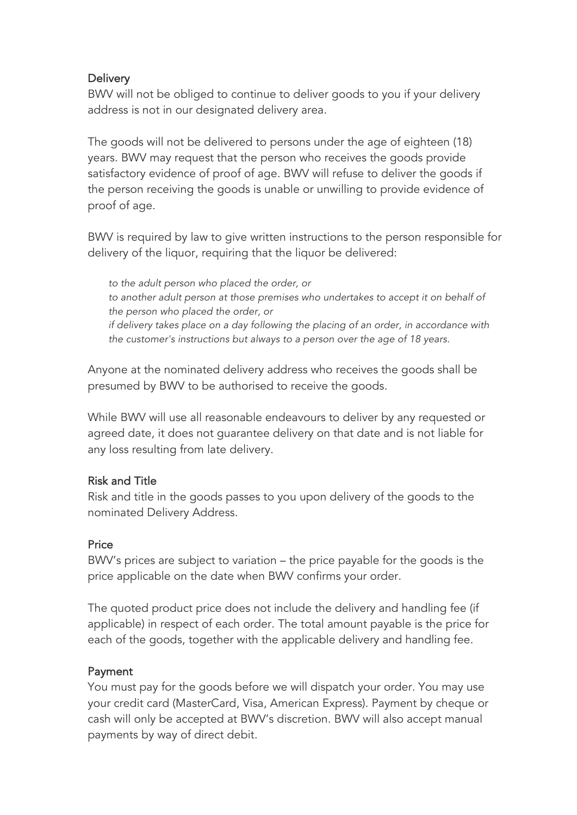## **Delivery**

BWV will not be obliged to continue to deliver goods to you if your delivery address is not in our designated delivery area.

The goods will not be delivered to persons under the age of eighteen (18) years. BWV may request that the person who receives the goods provide satisfactory evidence of proof of age. BWV will refuse to deliver the goods if the person receiving the goods is unable or unwilling to provide evidence of proof of age.

BWV is required by law to give written instructions to the person responsible for delivery of the liquor, requiring that the liquor be delivered:

*to the adult person who placed the order, or to another adult person at those premises who undertakes to accept it on behalf of the person who placed the order, or if delivery takes place on a day following the placing of an order, in accordance with the customer's instructions but always to a person over the age of 18 years.*

Anyone at the nominated delivery address who receives the goods shall be presumed by BWV to be authorised to receive the goods.

While BWV will use all reasonable endeavours to deliver by any requested or agreed date, it does not guarantee delivery on that date and is not liable for any loss resulting from late delivery.

## Risk and Title

Risk and title in the goods passes to you upon delivery of the goods to the nominated Delivery Address.

## **Price**

BWV's prices are subject to variation – the price payable for the goods is the price applicable on the date when BWV confirms your order.

The quoted product price does not include the delivery and handling fee (if applicable) in respect of each order. The total amount payable is the price for each of the goods, together with the applicable delivery and handling fee.

## Payment

You must pay for the goods before we will dispatch your order. You may use your credit card (MasterCard, Visa, American Express). Payment by cheque or cash will only be accepted at BWV's discretion. BWV will also accept manual payments by way of direct debit.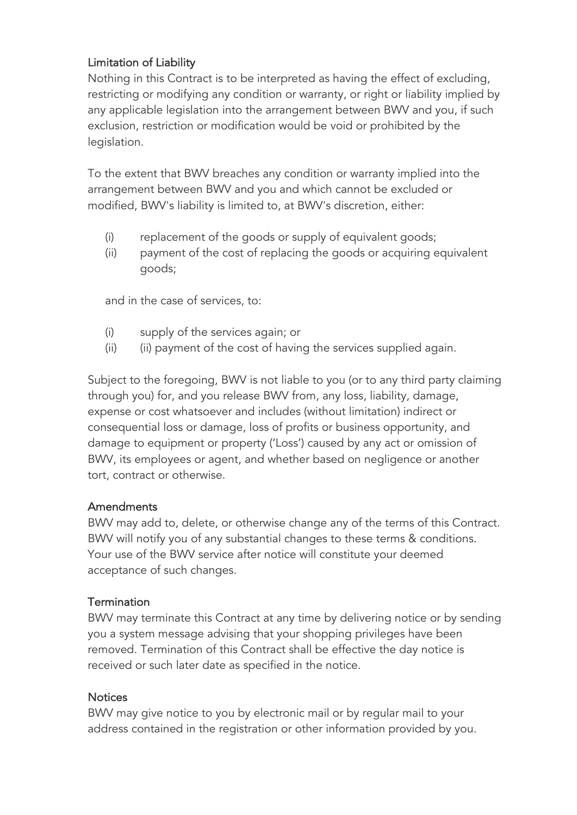## Limitation of Liability

Nothing in this Contract is to be interpreted as having the effect of excluding, restricting or modifying any condition or warranty, or right or liability implied by any applicable legislation into the arrangement between BWV and you, if such exclusion, restriction or modification would be void or prohibited by the legislation.

To the extent that BWV breaches any condition or warranty implied into the arrangement between BWV and you and which cannot be excluded or modified, BWV's liability is limited to, at BWV's discretion, either:

- (i) replacement of the goods or supply of equivalent goods;
- (ii) payment of the cost of replacing the goods or acquiring equivalent goods;

and in the case of services, to:

- (i) supply of the services again; or
- (ii) (ii) payment of the cost of having the services supplied again.

Subject to the foregoing, BWV is not liable to you (or to any third party claiming through you) for, and you release BWV from, any loss, liability, damage, expense or cost whatsoever and includes (without limitation) indirect or consequential loss or damage, loss of profits or business opportunity, and damage to equipment or property ('Loss') caused by any act or omission of BWV, its employees or agent, and whether based on negligence or another tort, contract or otherwise.

## **Amendments**

BWV may add to, delete, or otherwise change any of the terms of this Contract. BWV will notify you of any substantial changes to these terms & conditions. Your use of the BWV service after notice will constitute your deemed acceptance of such changes.

## **Termination**

BWV may terminate this Contract at any time by delivering notice or by sending you a system message advising that your shopping privileges have been removed. Termination of this Contract shall be effective the day notice is received or such later date as specified in the notice.

## **Notices**

BWV may give notice to you by electronic mail or by regular mail to your address contained in the registration or other information provided by you.